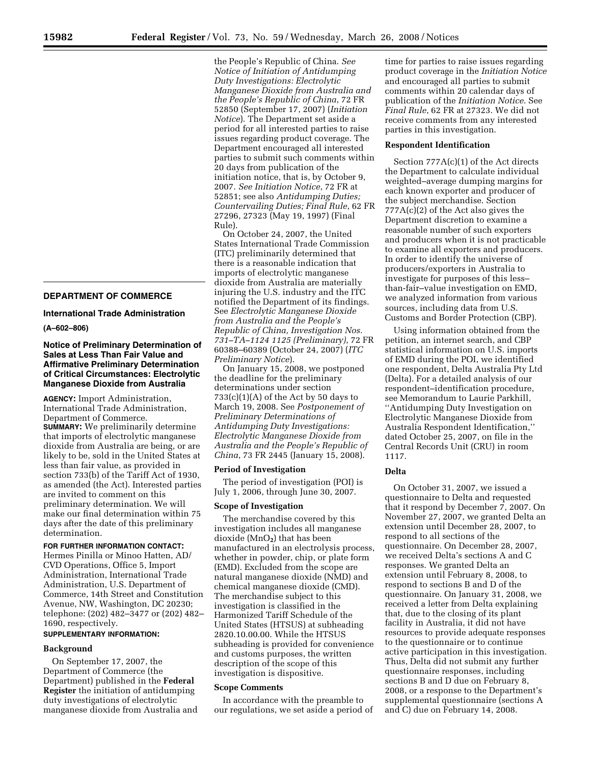# **DEPARTMENT OF COMMERCE**

# **International Trade Administration**

**(A–602–806)** 

# **Notice of Preliminary Determination of Sales at Less Than Fair Value and Affirmative Preliminary Determination of Critical Circumstances: Electrolytic Manganese Dioxide from Australia**

**AGENCY:** Import Administration, International Trade Administration, Department of Commerce. **SUMMARY:** We preliminarily determine that imports of electrolytic manganese dioxide from Australia are being, or are likely to be, sold in the United States at less than fair value, as provided in section 733(b) of the Tariff Act of 1930, as amended (the Act). Interested parties are invited to comment on this preliminary determination. We will make our final determination within 75 days after the date of this preliminary determination.

# **FOR FURTHER INFORMATION CONTACT:**

Hermes Pinilla or Minoo Hatten, AD/ CVD Operations, Office 5, Import Administration, International Trade Administration, U.S. Department of Commerce, 14th Street and Constitution Avenue, NW, Washington, DC 20230; telephone: (202) 482–3477 or (202) 482– 1690, respectively.

# **SUPPLEMENTARY INFORMATION:**

# **Background**

On September 17, 2007, the Department of Commerce (the Department) published in the **Federal Register** the initiation of antidumping duty investigations of electrolytic manganese dioxide from Australia and the People's Republic of China. *See Notice of Initiation of Antidumping Duty Investigations: Electrolytic Manganese Dioxide from Australia and the People's Republic of China*, 72 FR 52850 (September 17, 2007) (*Initiation Notice*). The Department set aside a period for all interested parties to raise issues regarding product coverage. The Department encouraged all interested parties to submit such comments within 20 days from publication of the initiation notice, that is, by October 9, 2007. *See Initiation Notice*, 72 FR at 52851; see also *Antidumping Duties; Countervailing Duties; Final Rule*, 62 FR 27296, 27323 (May 19, 1997) (Final Rule).

On October 24, 2007, the United States International Trade Commission (ITC) preliminarily determined that there is a reasonable indication that imports of electrolytic manganese dioxide from Australia are materially injuring the U.S. industry and the ITC notified the Department of its findings. See *Electrolytic Manganese Dioxide from Australia and the People's Republic of China, Investigation Nos. 731–TA–1124 1125 (Preliminary)*, 72 FR 60388–60389 (October 24, 2007) (*ITC Preliminary Notice*).

On January 15, 2008, we postponed the deadline for the preliminary determinations under section  $733(c)(1)(A)$  of the Act by 50 days to March 19, 2008. See *Postponement of Preliminary Determinations of Antidumping Duty Investigations: Electrolytic Manganese Dioxide from Australia and the People's Republic of China*, 73 FR 2445 (January 15, 2008).

# **Period of Investigation**

The period of investigation (POI) is July 1, 2006, through June 30, 2007.

# **Scope of Investigation**

The merchandise covered by this investigation includes all manganese dioxide (MnO**2**) that has been manufactured in an electrolysis process, whether in powder, chip, or plate form (EMD). Excluded from the scope are natural manganese dioxide (NMD) and chemical manganese dioxide (CMD). The merchandise subject to this investigation is classified in the Harmonized Tariff Schedule of the United States (HTSUS) at subheading 2820.10.00.00. While the HTSUS subheading is provided for convenience and customs purposes, the written description of the scope of this investigation is dispositive.

# **Scope Comments**

In accordance with the preamble to our regulations, we set aside a period of time for parties to raise issues regarding product coverage in the *Initiation Notice*  and encouraged all parties to submit comments within 20 calendar days of publication of the *Initiation Notice*. See *Final Rule*, 62 FR at 27323. We did not receive comments from any interested parties in this investigation.

# **Respondent Identification**

Section 777A(c)(1) of the Act directs the Department to calculate individual weighted–average dumping margins for each known exporter and producer of the subject merchandise. Section 777A(c)(2) of the Act also gives the Department discretion to examine a reasonable number of such exporters and producers when it is not practicable to examine all exporters and producers. In order to identify the universe of producers/exporters in Australia to investigate for purposes of this less– than-fair–value investigation on EMD, we analyzed information from various sources, including data from U.S. Customs and Border Protection (CBP).

Using information obtained from the petition, an internet search, and CBP statistical information on U.S. imports of EMD during the POI, we identified one respondent, Delta Australia Pty Ltd (Delta). For a detailed analysis of our respondent–identification procedure, see Memorandum to Laurie Parkhill, ''Antidumping Duty Investigation on Electrolytic Manganese Dioxide from Australia Respondent Identification,'' dated October 25, 2007, on file in the Central Records Unit (CRU) in room 1117.

# **Delta**

On October 31, 2007, we issued a questionnaire to Delta and requested that it respond by December 7, 2007. On November 27, 2007, we granted Delta an extension until December 28, 2007, to respond to all sections of the questionnaire. On December 28, 2007, we received Delta's sections A and C responses. We granted Delta an extension until February 8, 2008, to respond to sections B and D of the questionnaire. On January 31, 2008, we received a letter from Delta explaining that, due to the closing of its plant facility in Australia, it did not have resources to provide adequate responses to the questionnaire or to continue active participation in this investigation. Thus, Delta did not submit any further questionnaire responses, including sections B and D due on February 8, 2008, or a response to the Department's supplemental questionnaire (sections A and C) due on February 14, 2008.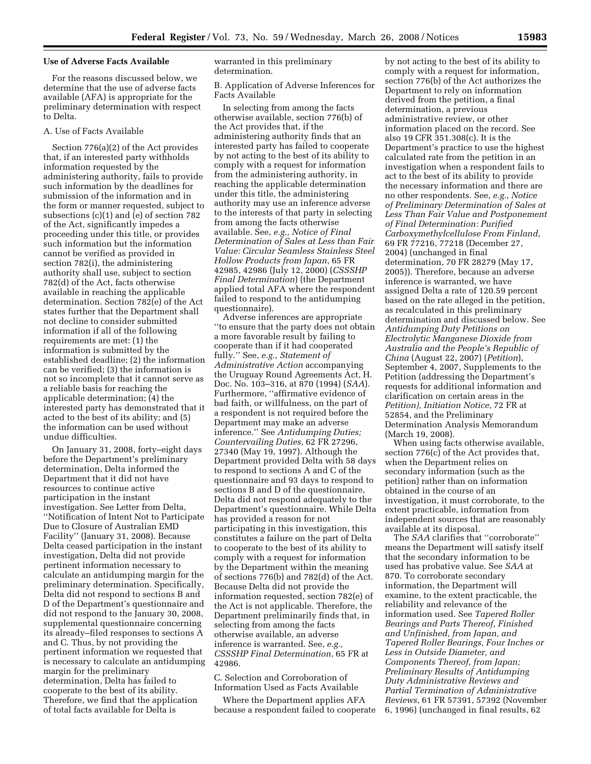## **Use of Adverse Facts Available**

For the reasons discussed below, we determine that the use of adverse facts available (AFA) is appropriate for the preliminary determination with respect to Delta.

# A. Use of Facts Available

Section 776(a)(2) of the Act provides that, if an interested party withholds information requested by the administering authority, fails to provide such information by the deadlines for submission of the information and in the form or manner requested, subject to subsections (c)(1) and (e) of section 782 of the Act, significantly impedes a proceeding under this title, or provides such information but the information cannot be verified as provided in section 782(i), the administering authority shall use, subject to section 782(d) of the Act, facts otherwise available in reaching the applicable determination. Section 782(e) of the Act states further that the Department shall not decline to consider submitted information if all of the following requirements are met: (1) the information is submitted by the established deadline; (2) the information can be verified; (3) the information is not so incomplete that it cannot serve as a reliable basis for reaching the applicable determination; (4) the interested party has demonstrated that it acted to the best of its ability; and (5) the information can be used without undue difficulties.

On January 31, 2008, forty–eight days before the Department's preliminary determination, Delta informed the Department that it did not have resources to continue active participation in the instant investigation. See Letter from Delta, ''Notification of Intent Not to Participate Due to Closure of Australian EMD Facility'' (January 31, 2008). Because Delta ceased participation in the instant investigation, Delta did not provide pertinent information necessary to calculate an antidumping margin for the preliminary determination. Specifically, Delta did not respond to sections B and D of the Department's questionnaire and did not respond to the January 30, 2008, supplemental questionnaire concerning its already–filed responses to sections A and C. Thus, by not providing the pertinent information we requested that is necessary to calculate an antidumping margin for the preliminary determination, Delta has failed to cooperate to the best of its ability. Therefore, we find that the application of total facts available for Delta is

warranted in this preliminary determination.

B. Application of Adverse Inferences for Facts Available

In selecting from among the facts otherwise available, section 776(b) of the Act provides that, if the administering authority finds that an interested party has failed to cooperate by not acting to the best of its ability to comply with a request for information from the administering authority, in reaching the applicable determination under this title, the administering authority may use an inference adverse to the interests of that party in selecting from among the facts otherwise available. See, *e.g., Notice of Final Determination of Sales at Less than Fair Value: Circular Seamless Stainless Steel Hollow Products from Japan*, 65 FR 42985, 42986 (July 12, 2000) (*CSSSHP Final Determination*) (the Department applied total AFA where the respondent failed to respond to the antidumping questionnaire).

Adverse inferences are appropriate ''to ensure that the party does not obtain a more favorable result by failing to cooperate than if it had cooperated fully.'' See, *e.g., Statement of Administrative Action* accompanying the Uruguay Round Agreements Act, H. Doc. No. 103–316, at 870 (1994) (*SAA*). Furthermore, ''affirmative evidence of bad faith, or willfulness, on the part of a respondent is not required before the Department may make an adverse inference.'' See *Antidumping Duties; Countervailing Duties*, 62 FR 27296, 27340 (May 19, 1997). Although the Department provided Delta with 58 days to respond to sections A and C of the questionnaire and 93 days to respond to sections B and D of the questionnaire, Delta did not respond adequately to the Department's questionnaire. While Delta has provided a reason for not participating in this investigation, this constitutes a failure on the part of Delta to cooperate to the best of its ability to comply with a request for information by the Department within the meaning of sections 776(b) and 782(d) of the Act. Because Delta did not provide the information requested, section 782(e) of the Act is not applicable. Therefore, the Department preliminarily finds that, in selecting from among the facts otherwise available, an adverse inference is warranted. See, *e.g., CSSSHP Final Determination*, 65 FR at 42986.

C. Selection and Corroboration of Information Used as Facts Available

Where the Department applies AFA because a respondent failed to cooperate by not acting to the best of its ability to comply with a request for information, section 776(b) of the Act authorizes the Department to rely on information derived from the petition, a final determination, a previous administrative review, or other information placed on the record. See also 19 CFR 351.308(c). It is the Department's practice to use the highest calculated rate from the petition in an investigation when a respondent fails to act to the best of its ability to provide the necessary information and there are no other respondents. See, *e.g., Notice of Preliminary Determination of Sales at Less Than Fair Value and Postponement of Final Determination: Purified Carboxymethylcellulose From Finland*, 69 FR 77216, 77218 (December 27, 2004) (unchanged in final determination, 70 FR 28279 (May 17, 2005)). Therefore, because an adverse inference is warranted, we have assigned Delta a rate of 120.59 percent based on the rate alleged in the petition, as recalculated in this preliminary determination and discussed below. See *Antidumping Duty Petitions on Electrolytic Manganese Dioxide from Australia and the People's Republic of China* (August 22, 2007) (*Petition*), September 4, 2007, Supplements to the Petition (addressing the Department's requests for additional information and clarification on certain areas in the *Petition), Initiation Notice*, 72 FR at 52854, and the Preliminary Determination Analysis Memorandum (March 19, 2008).

When using facts otherwise available, section 776(c) of the Act provides that, when the Department relies on secondary information (such as the petition) rather than on information obtained in the course of an investigation, it must corroborate, to the extent practicable, information from independent sources that are reasonably available at its disposal.

The *SAA* clarifies that ''corroborate'' means the Department will satisfy itself that the secondary information to be used has probative value. See *SAA* at 870. To corroborate secondary information, the Department will examine, to the extent practicable, the reliability and relevance of the information used. See *Tapered Roller Bearings and Parts Thereof, Finished and Unfinished, from Japan, and Tapered Roller Bearings, Four Inches or Less in Outside Diameter, and Components Thereof, from Japan; Preliminary Results of Antidumping Duty Administrative Reviews and Partial Termination of Administrative Reviews*, 61 FR 57391, 57392 (November 6, 1996) (unchanged in final results, 62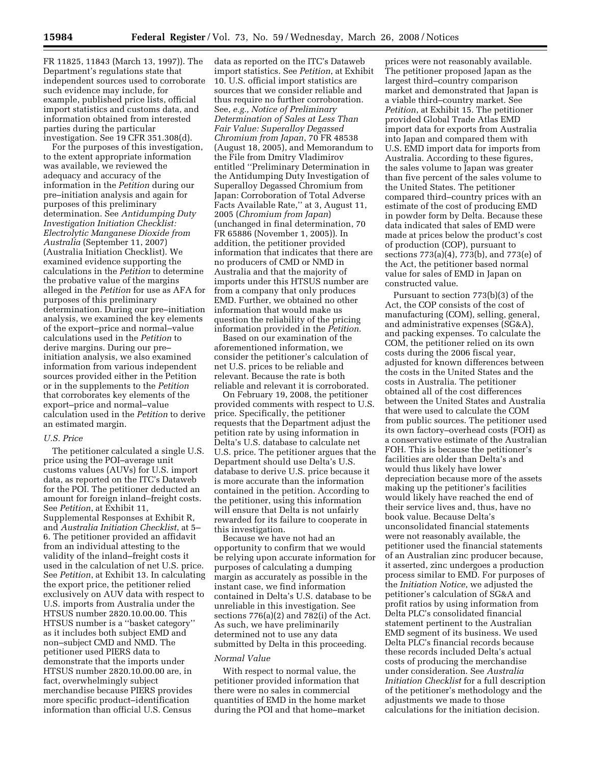information obtained from interested

parties during the particular

investigation. See 19 CFR 351.308(d). For the purposes of this investigation, to the extent appropriate information was available, we reviewed the adequacy and accuracy of the information in the *Petition* during our pre–initiation analysis and again for purposes of this preliminary determination. See *Antidumping Duty Investigation Initiation Checklist: Electrolytic Manganese Dioxide from Australia* (September 11, 2007) (Australia Initiation Checklist). We examined evidence supporting the calculations in the *Petition* to determine the probative value of the margins alleged in the *Petition* for use as AFA for purposes of this preliminary determination. During our pre–initiation analysis, we examined the key elements of the export–price and normal–value calculations used in the *Petition* to derive margins. During our pre– initiation analysis, we also examined information from various independent sources provided either in the Petition or in the supplements to the *Petition*  that corroborates key elements of the export–price and normal–value calculation used in the *Petition* to derive an estimated margin.

## *U.S. Price*

The petitioner calculated a single U.S. price using the POI–average unit customs values (AUVs) for U.S. import data, as reported on the ITC's Dataweb for the POI. The petitioner deducted an amount for foreign inland–freight costs. See *Petition*, at Exhibit 11, Supplemental Responses at Exhibit R, and *Australia Initiation Checklist*, at 5– 6. The petitioner provided an affidavit from an individual attesting to the validity of the inland–freight costs it used in the calculation of net U.S. price. See *Petition*, at Exhibit 13. In calculating the export price, the petitioner relied exclusively on AUV data with respect to U.S. imports from Australia under the HTSUS number 2820.10.00.00. This HTSUS number is a ''basket category'' as it includes both subject EMD and non–subject CMD and NMD. The petitioner used PIERS data to demonstrate that the imports under HTSUS number 2820.10.00.00 are, in fact, overwhelmingly subject merchandise because PIERS provides more specific product–identification information than official U.S. Census

data as reported on the ITC's Dataweb import statistics. See *Petition*, at Exhibit 10. U.S. official import statistics are sources that we consider reliable and thus require no further corroboration. See, *e.g., Notice of Preliminary Determination of Sales at Less Than Fair Value: Superalloy Degassed Chromium from Japan*, 70 FR 48538 (August 18, 2005), and Memorandum to the File from Dmitry Vladimirov entitled ''Preliminary Determination in the Antidumping Duty Investigation of Superalloy Degassed Chromium from Japan: Corroboration of Total Adverse Facts Available Rate,'' at 3, August 11, 2005 (*Chromium from Japan*) (unchanged in final determination, 70 FR 65886 (November 1, 2005)). In addition, the petitioner provided information that indicates that there are no producers of CMD or NMD in Australia and that the majority of imports under this HTSUS number are from a company that only produces EMD. Further, we obtained no other information that would make us question the reliability of the pricing information provided in the *Petition*.

Based on our examination of the aforementioned information, we consider the petitioner's calculation of net U.S. prices to be reliable and relevant. Because the rate is both reliable and relevant it is corroborated.

On February 19, 2008, the petitioner provided comments with respect to U.S. price. Specifically, the petitioner requests that the Department adjust the petition rate by using information in Delta's U.S. database to calculate net U.S. price. The petitioner argues that the Department should use Delta's U.S. database to derive U.S. price because it is more accurate than the information contained in the petition. According to the petitioner, using this information will ensure that Delta is not unfairly rewarded for its failure to cooperate in this investigation.

Because we have not had an opportunity to confirm that we would be relying upon accurate information for purposes of calculating a dumping margin as accurately as possible in the instant case, we find information contained in Delta's U.S. database to be unreliable in this investigation. See sections 776(a)(2) and 782(i) of the Act. As such, we have preliminarily determined not to use any data submitted by Delta in this proceeding.

## *Normal Value*

With respect to normal value, the petitioner provided information that there were no sales in commercial quantities of EMD in the home market during the POI and that home–market

prices were not reasonably available. The petitioner proposed Japan as the largest third–country comparison market and demonstrated that Japan is a viable third–country market. See *Petition*, at Exhibit 15. The petitioner provided Global Trade Atlas EMD import data for exports from Australia into Japan and compared them with U.S. EMD import data for imports from Australia. According to these figures, the sales volume to Japan was greater than five percent of the sales volume to the United States. The petitioner compared third–country prices with an estimate of the cost of producing EMD in powder form by Delta. Because these data indicated that sales of EMD were made at prices below the product's cost of production (COP), pursuant to sections 773(a)(4), 773(b), and 773(e) of the Act, the petitioner based normal value for sales of EMD in Japan on constructed value.

Pursuant to section 773(b)(3) of the Act, the COP consists of the cost of manufacturing (COM), selling, general, and administrative expenses (SG&A), and packing expenses. To calculate the COM, the petitioner relied on its own costs during the 2006 fiscal year, adjusted for known differences between the costs in the United States and the costs in Australia. The petitioner obtained all of the cost differences between the United States and Australia that were used to calculate the COM from public sources. The petitioner used its own factory–overhead costs (FOH) as a conservative estimate of the Australian FOH. This is because the petitioner's facilities are older than Delta's and would thus likely have lower depreciation because more of the assets making up the petitioner's facilities would likely have reached the end of their service lives and, thus, have no book value. Because Delta's unconsolidated financial statements were not reasonably available, the petitioner used the financial statements of an Australian zinc producer because, it asserted, zinc undergoes a production process similar to EMD. For purposes of the *Initiation Notice*, we adjusted the petitioner's calculation of SG&A and profit ratios by using information from Delta PLC's consolidated financial statement pertinent to the Australian EMD segment of its business. We used Delta PLC's financial records because these records included Delta's actual costs of producing the merchandise under consideration. See *Australia Initiation Checklist* for a full description of the petitioner's methodology and the adjustments we made to those calculations for the initiation decision.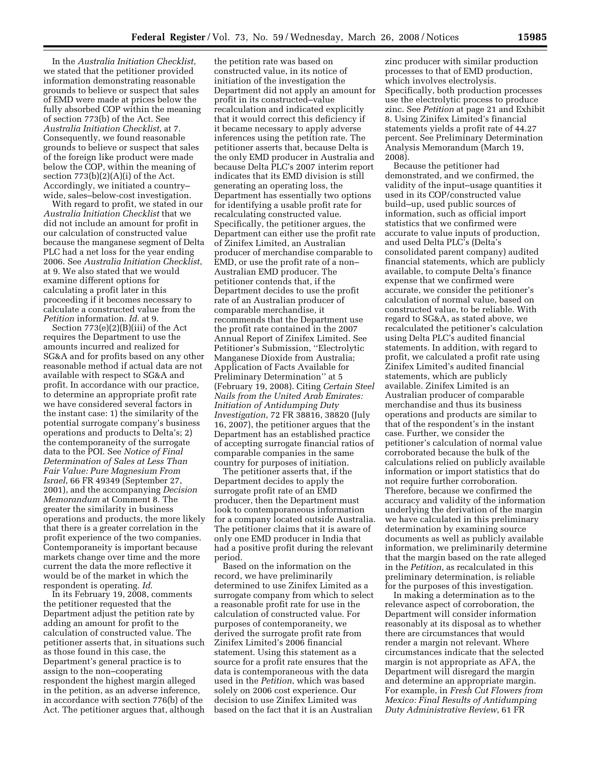In the *Australia Initiation Checklist*, we stated that the petitioner provided information demonstrating reasonable grounds to believe or suspect that sales of EMD were made at prices below the fully absorbed COP within the meaning of section 773(b) of the Act. See *Australia Initiation Checklist*, at 7. Consequently, we found reasonable grounds to believe or suspect that sales of the foreign like product were made below the COP, within the meaning of section  $773(b)(2)(A)(i)$  of the Act. Accordingly, we initiated a country– wide, sales–below-cost investigation.

With regard to profit, we stated in our *Australia Initiation Checklist* that we did not include an amount for profit in our calculation of constructed value because the manganese segment of Delta PLC had a net loss for the year ending 2006. See *Australia Initiation Checklist*, at 9. We also stated that we would examine different options for calculating a profit later in this proceeding if it becomes necessary to calculate a constructed value from the *Petition* information. *Id*. at 9.

Section 773(e)(2)(B)(iii) of the Act requires the Department to use the amounts incurred and realized for SG&A and for profits based on any other reasonable method if actual data are not available with respect to SG&A and profit. In accordance with our practice, to determine an appropriate profit rate we have considered several factors in the instant case: 1) the similarity of the potential surrogate company's business operations and products to Delta's; 2) the contemporaneity of the surrogate data to the POI. See *Notice of Final Determination of Sales at Less Than Fair Value: Pure Magnesium From Israel*, 66 FR 49349 (September 27, 2001), and the accompanying *Decision Memorandum* at Comment 8. The greater the similarity in business operations and products, the more likely that there is a greater correlation in the profit experience of the two companies. Contemporaneity is important because markets change over time and the more current the data the more reflective it would be of the market in which the respondent is operating. *Id*.

In its February 19, 2008, comments the petitioner requested that the Department adjust the petition rate by adding an amount for profit to the calculation of constructed value. The petitioner asserts that, in situations such as those found in this case, the Department's general practice is to assign to the non–cooperating respondent the highest margin alleged in the petition, as an adverse inference, in accordance with section 776(b) of the Act. The petitioner argues that, although

the petition rate was based on constructed value, in its notice of initiation of the investigation the Department did not apply an amount for profit in its constructed–value recalculation and indicated explicitly that it would correct this deficiency if it became necessary to apply adverse inferences using the petition rate. The petitioner asserts that, because Delta is the only EMD producer in Australia and because Delta PLC's 2007 interim report indicates that its EMD division is still generating an operating loss, the Department has essentially two options for identifying a usable profit rate for recalculating constructed value. Specifically, the petitioner argues, the Department can either use the profit rate of Zinifex Limited, an Australian producer of merchandise comparable to EMD, or use the profit rate of a non– Australian EMD producer. The petitioner contends that, if the Department decides to use the profit rate of an Australian producer of comparable merchandise, it recommends that the Department use the profit rate contained in the 2007 Annual Report of Zinifex Limited. See Petitioner's Submission, ''Electrolytic Manganese Dioxide from Australia; Application of Facts Available for Preliminary Determination'' at 5 (February 19, 2008). Citing *Certain Steel Nails from the United Arab Emirates: Initiation of Antidumping Duty Investigation*, 72 FR 38816, 38820 (July 16, 2007), the petitioner argues that the Department has an established practice of accepting surrogate financial ratios of comparable companies in the same country for purposes of initiation.

The petitioner asserts that, if the Department decides to apply the surrogate profit rate of an EMD producer, then the Department must look to contemporaneous information for a company located outside Australia. The petitioner claims that it is aware of only one EMD producer in India that had a positive profit during the relevant period.

Based on the information on the record, we have preliminarily determined to use Zinifex Limited as a surrogate company from which to select a reasonable profit rate for use in the calculation of constructed value. For purposes of contemporaneity, we derived the surrogate profit rate from Zinifex Limited's 2006 financial statement. Using this statement as a source for a profit rate ensures that the data is contemporaneous with the data used in the *Petition*, which was based solely on 2006 cost experience. Our decision to use Zinifex Limited was based on the fact that it is an Australian

zinc producer with similar production processes to that of EMD production, which involves electrolysis. Specifically, both production processes use the electrolytic process to produce zinc. See *Petition* at page 21 and Exhibit 8. Using Zinifex Limited's financial statements yields a profit rate of 44.27 percent. See Preliminary Determination Analysis Memorandum (March 19, 2008).

Because the petitioner had demonstrated, and we confirmed, the validity of the input–usage quantities it used in its COP/constructed value build–up, used public sources of information, such as official import statistics that we confirmed were accurate to value inputs of production, and used Delta PLC's (Delta's consolidated parent company) audited financial statements, which are publicly available, to compute Delta's finance expense that we confirmed were accurate, we consider the petitioner's calculation of normal value, based on constructed value, to be reliable. With regard to SG&A, as stated above, we recalculated the petitioner's calculation using Delta PLC's audited financial statements. In addition, with regard to profit, we calculated a profit rate using Zinifex Limited's audited financial statements, which are publicly available. Zinifex Limited is an Australian producer of comparable merchandise and thus its business operations and products are similar to that of the respondent's in the instant case. Further, we consider the petitioner's calculation of normal value corroborated because the bulk of the calculations relied on publicly available information or import statistics that do not require further corroboration. Therefore, because we confirmed the accuracy and validity of the information underlying the derivation of the margin we have calculated in this preliminary determination by examining source documents as well as publicly available information, we preliminarily determine that the margin based on the rate alleged in the *Petition*, as recalculated in this preliminary determination, is reliable for the purposes of this investigation.

In making a determination as to the relevance aspect of corroboration, the Department will consider information reasonably at its disposal as to whether there are circumstances that would render a margin not relevant. Where circumstances indicate that the selected margin is not appropriate as AFA, the Department will disregard the margin and determine an appropriate margin. For example, in *Fresh Cut Flowers from Mexico: Final Results of Antidumping Duty Administrative Review*, 61 FR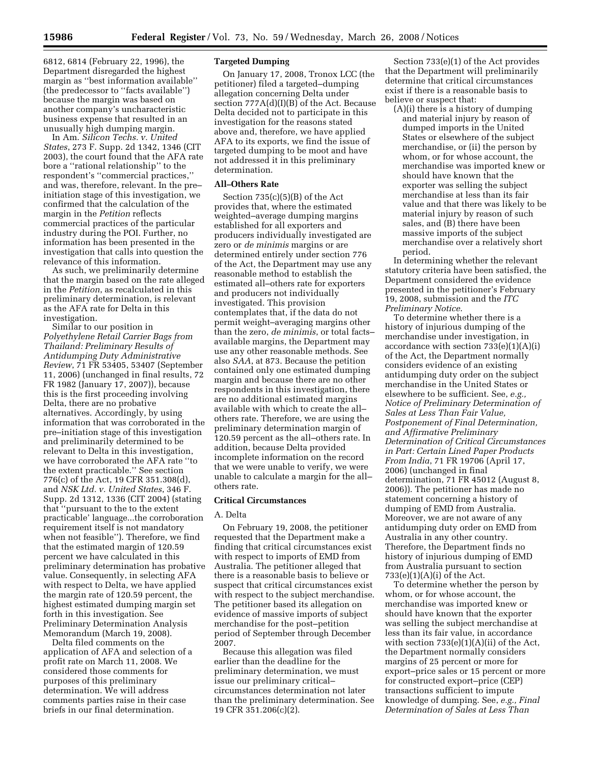6812, 6814 (February 22, 1996), the Department disregarded the highest margin as ''best information available'' (the predecessor to ''facts available'') because the margin was based on another company's uncharacteristic business expense that resulted in an unusually high dumping margin.

In Am. *Silicon Techs. v. United States*, 273 F. Supp. 2d 1342, 1346 (CIT 2003), the court found that the AFA rate bore a ''rational relationship'' to the respondent's ''commercial practices,'' and was, therefore, relevant. In the pre– initiation stage of this investigation, we confirmed that the calculation of the margin in the *Petition* reflects commercial practices of the particular industry during the POI. Further, no information has been presented in the investigation that calls into question the relevance of this information.

As such, we preliminarily determine that the margin based on the rate alleged in the *Petition*, as recalculated in this preliminary determination, is relevant as the AFA rate for Delta in this investigation.

Similar to our position in *Polyethylene Retail Carrier Bags from Thailand: Preliminary Results of Antidumping Duty Administrative Review*, 71 FR 53405, 53407 (September 11, 2006) (unchanged in final results, 72 FR 1982 (January 17, 2007)), because this is the first proceeding involving Delta, there are no probative alternatives. Accordingly, by using information that was corroborated in the pre–initiation stage of this investigation and preliminarily determined to be relevant to Delta in this investigation, we have corroborated the AFA rate ''to the extent practicable.'' See section 776(c) of the Act, 19 CFR 351.308(d), and *NSK Ltd. v. United States*, 346 F. Supp. 2d 1312, 1336 (CIT 2004) (stating that "pursuant to the to the extent practicable' language...the corroboration requirement itself is not mandatory when not feasible''). Therefore, we find that the estimated margin of 120.59 percent we have calculated in this preliminary determination has probative value. Consequently, in selecting AFA with respect to Delta, we have applied the margin rate of 120.59 percent, the highest estimated dumping margin set forth in this investigation. See Preliminary Determination Analysis Memorandum (March 19, 2008).

Delta filed comments on the application of AFA and selection of a profit rate on March 11, 2008. We considered those comments for purposes of this preliminary determination. We will address comments parties raise in their case briefs in our final determination.

#### **Targeted Dumping**

On January 17, 2008, Tronox LCC (the petitioner) filed a targeted–dumping allegation concerning Delta under section 777A(d)(I)(B) of the Act. Because Delta decided not to participate in this investigation for the reasons stated above and, therefore, we have applied AFA to its exports, we find the issue of targeted dumping to be moot and have not addressed it in this preliminary determination.

## **All–Others Rate**

Section 735(c)(5)(B) of the Act provides that, where the estimated weighted–average dumping margins established for all exporters and producers individually investigated are zero or *de minimis* margins or are determined entirely under section 776 of the Act, the Department may use any reasonable method to establish the estimated all–others rate for exporters and producers not individually investigated. This provision contemplates that, if the data do not permit weight–averaging margins other than the zero, *de minimis*, or total facts– available margins, the Department may use any other reasonable methods. See also *SAA*, at 873. Because the petition contained only one estimated dumping margin and because there are no other respondents in this investigation, there are no additional estimated margins available with which to create the all– others rate. Therefore, we are using the preliminary determination margin of 120.59 percent as the all–others rate. In addition, because Delta provided incomplete information on the record that we were unable to verify, we were unable to calculate a margin for the all– others rate.

#### **Critical Circumstances**

#### A. Delta

On February 19, 2008, the petitioner requested that the Department make a finding that critical circumstances exist with respect to imports of EMD from Australia. The petitioner alleged that there is a reasonable basis to believe or suspect that critical circumstances exist with respect to the subject merchandise. The petitioner based its allegation on evidence of massive imports of subject merchandise for the post–petition period of September through December 2007.

Because this allegation was filed earlier than the deadline for the preliminary determination, we must issue our preliminary critical– circumstances determination not later than the preliminary determination. See 19 CFR 351.206(c)(2).

Section 733(e)(1) of the Act provides that the Department will preliminarily determine that critical circumstances exist if there is a reasonable basis to believe or suspect that:

(A)(i) there is a history of dumping and material injury by reason of dumped imports in the United States or elsewhere of the subject merchandise, or (ii) the person by whom, or for whose account, the merchandise was imported knew or should have known that the exporter was selling the subject merchandise at less than its fair value and that there was likely to be material injury by reason of such sales, and (B) there have been massive imports of the subject merchandise over a relatively short period.

In determining whether the relevant statutory criteria have been satisfied, the Department considered the evidence presented in the petitioner's February 19, 2008, submission and the *ITC Preliminary Notice*.

To determine whether there is a history of injurious dumping of the merchandise under investigation, in accordance with section  $733(e)(1)(A)(i)$ of the Act, the Department normally considers evidence of an existing antidumping duty order on the subject merchandise in the United States or elsewhere to be sufficient. See, *e.g., Notice of Preliminary Determination of Sales at Less Than Fair Value, Postponement of Final Determination, and Affirmative Preliminary Determination of Critical Circumstances in Part: Certain Lined Paper Products From India*, 71 FR 19706 (April 17, 2006) (unchanged in final determination, 71 FR 45012 (August 8, 2006)). The petitioner has made no statement concerning a history of dumping of EMD from Australia. Moreover, we are not aware of any antidumping duty order on EMD from Australia in any other country. Therefore, the Department finds no history of injurious dumping of EMD from Australia pursuant to section  $733(e)(1)(A)(i)$  of the Act.

To determine whether the person by whom, or for whose account, the merchandise was imported knew or should have known that the exporter was selling the subject merchandise at less than its fair value, in accordance with section  $733(e)(1)(A)(ii)$  of the Act, the Department normally considers margins of 25 percent or more for export–price sales or 15 percent or more for constructed export–price (CEP) transactions sufficient to impute knowledge of dumping. See, *e.g., Final Determination of Sales at Less Than*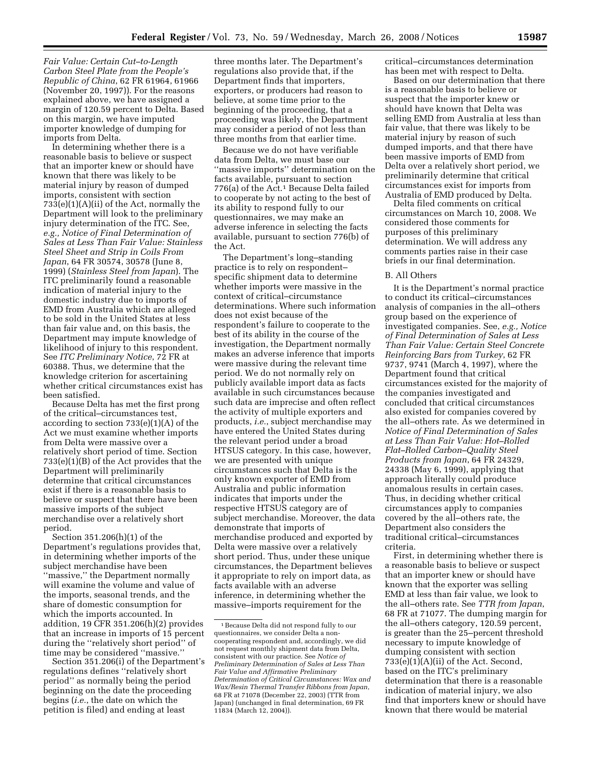*Fair Value: Certain Cut–to-Length Carbon Steel Plate from the People's Republic of China*, 62 FR 61964, 61966 (November 20, 1997)). For the reasons explained above, we have assigned a margin of 120.59 percent to Delta. Based on this margin, we have imputed importer knowledge of dumping for imports from Delta.

In determining whether there is a reasonable basis to believe or suspect that an importer knew or should have known that there was likely to be material injury by reason of dumped imports, consistent with section 733(e)(1)(A)(ii) of the Act, normally the Department will look to the preliminary injury determination of the ITC. See, *e.g., Notice of Final Determination of Sales at Less Than Fair Value: Stainless Steel Sheet and Strip in Coils From Japan*, 64 FR 30574, 30578 (June 8, 1999) (*Stainless Steel from Japan*). The ITC preliminarily found a reasonable indication of material injury to the domestic industry due to imports of EMD from Australia which are alleged to be sold in the United States at less than fair value and, on this basis, the Department may impute knowledge of likelihood of injury to this respondent. See *ITC Preliminary Notice*, 72 FR at 60388. Thus, we determine that the knowledge criterion for ascertaining whether critical circumstances exist has been satisfied.

Because Delta has met the first prong of the critical–circumstances test, according to section 733(e)(1)(A) of the Act we must examine whether imports from Delta were massive over a relatively short period of time. Section 733(e)(1)(B) of the Act provides that the Department will preliminarily determine that critical circumstances exist if there is a reasonable basis to believe or suspect that there have been massive imports of the subject merchandise over a relatively short period.

Section 351.206(h)(1) of the Department's regulations provides that, in determining whether imports of the subject merchandise have been ''massive,'' the Department normally will examine the volume and value of the imports, seasonal trends, and the share of domestic consumption for which the imports accounted. In addition, 19 CFR 351.206(h)(2) provides that an increase in imports of 15 percent during the ''relatively short period'' of time may be considered ''massive.''

Section 351.206(i) of the Department's regulations defines ''relatively short period'' as normally being the period beginning on the date the proceeding begins (*i.e.*, the date on which the petition is filed) and ending at least

three months later. The Department's regulations also provide that, if the Department finds that importers, exporters, or producers had reason to believe, at some time prior to the beginning of the proceeding, that a proceeding was likely, the Department may consider a period of not less than three months from that earlier time.

Because we do not have verifiable data from Delta, we must base our ''massive imports'' determination on the facts available, pursuant to section 776(a) of the Act.1 Because Delta failed to cooperate by not acting to the best of its ability to respond fully to our questionnaires, we may make an adverse inference in selecting the facts available, pursuant to section 776(b) of the Act.

The Department's long–standing practice is to rely on respondent– specific shipment data to determine whether imports were massive in the context of critical–circumstance determinations. Where such information does not exist because of the respondent's failure to cooperate to the best of its ability in the course of the investigation, the Department normally makes an adverse inference that imports were massive during the relevant time period. We do not normally rely on publicly available import data as facts available in such circumstances because such data are imprecise and often reflect the activity of multiple exporters and products, *i.e.*, subject merchandise may have entered the United States during the relevant period under a broad HTSUS category. In this case, however, we are presented with unique circumstances such that Delta is the only known exporter of EMD from Australia and public information indicates that imports under the respective HTSUS category are of subject merchandise. Moreover, the data demonstrate that imports of merchandise produced and exported by Delta were massive over a relatively short period. Thus, under these unique circumstances, the Department believes it appropriate to rely on import data, as facts available with an adverse inference, in determining whether the massive–imports requirement for the

critical–circumstances determination has been met with respect to Delta.

Based on our determination that there is a reasonable basis to believe or suspect that the importer knew or should have known that Delta was selling EMD from Australia at less than fair value, that there was likely to be material injury by reason of such dumped imports, and that there have been massive imports of EMD from Delta over a relatively short period, we preliminarily determine that critical circumstances exist for imports from Australia of EMD produced by Delta.

Delta filed comments on critical circumstances on March 10, 2008. We considered those comments for purposes of this preliminary determination. We will address any comments parties raise in their case briefs in our final determination.

## B. All Others

It is the Department's normal practice to conduct its critical–circumstances analysis of companies in the all–others group based on the experience of investigated companies. See, *e.g., Notice of Final Determination of Sales at Less Than Fair Value: Certain Steel Concrete Reinforcing Bars from Turkey*, 62 FR 9737, 9741 (March 4, 1997), where the Department found that critical circumstances existed for the majority of the companies investigated and concluded that critical circumstances also existed for companies covered by the all–others rate. As we determined in *Notice of Final Determination of Sales at Less Than Fair Value: Hot–Rolled Flat–Rolled Carbon–Quality Steel Products from Japan*, 64 FR 24329, 24338 (May 6, 1999), applying that approach literally could produce anomalous results in certain cases. Thus, in deciding whether critical circumstances apply to companies covered by the all–others rate, the Department also considers the traditional critical–circumstances criteria.

First, in determining whether there is a reasonable basis to believe or suspect that an importer knew or should have known that the exporter was selling EMD at less than fair value, we look to the all–others rate. See *TTR from Japan*, 68 FR at 71077. The dumping margin for the all–others category, 120.59 percent, is greater than the 25–percent threshold necessary to impute knowledge of dumping consistent with section  $733(e)(1)(A)(ii)$  of the Act. Second, based on the ITC's preliminary determination that there is a reasonable indication of material injury, we also find that importers knew or should have known that there would be material

<sup>1</sup>Because Delta did not respond fully to our questionnaires, we consider Delta a noncooperating respondent and, accordingly, we did not request monthly shipment data from Delta, consistent with our practice. See *Notice of Preliminary Determination of Sales at Less Than Fair Value and Affirmative Preliminary Determination of Critical Circumstances: Wax and Wax/Resin Thermal Transfer Ribbons from Japan*, 68 FR at 71078 (December 22, 2003) (TTR from Japan) (unchanged in final determination, 69 FR 11834 (March 12, 2004)).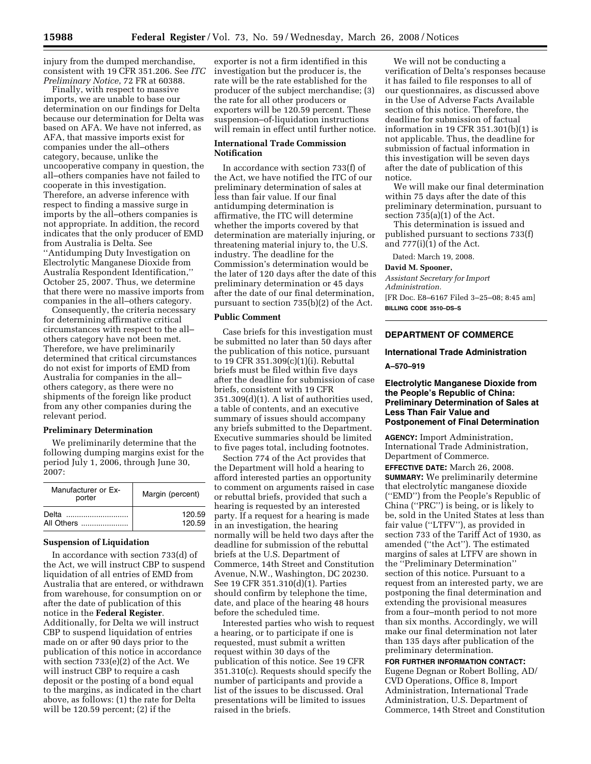injury from the dumped merchandise, consistent with 19 CFR 351.206. See *ITC Preliminary Notice*, 72 FR at 60388.

Finally, with respect to massive imports, we are unable to base our determination on our findings for Delta because our determination for Delta was based on AFA. We have not inferred, as AFA, that massive imports exist for companies under the all–others category, because, unlike the uncooperative company in question, the all–others companies have not failed to cooperate in this investigation. Therefore, an adverse inference with respect to finding a massive surge in imports by the all–others companies is not appropriate. In addition, the record indicates that the only producer of EMD from Australia is Delta. See ''Antidumping Duty Investigation on Electrolytic Manganese Dioxide from Australia Respondent Identification,'' October 25, 2007. Thus, we determine that there were no massive imports from companies in the all–others category.

Consequently, the criteria necessary for determining affirmative critical circumstances with respect to the all– others category have not been met. Therefore, we have preliminarily determined that critical circumstances do not exist for imports of EMD from Australia for companies in the all– others category, as there were no shipments of the foreign like product from any other companies during the relevant period.

## **Preliminary Determination**

We preliminarily determine that the following dumping margins exist for the period July 1, 2006, through June 30, 2007:

| Manufacturer or Ex-<br>porter | Margin (percent) |  |
|-------------------------------|------------------|--|
|                               | 120.59           |  |
| All Others                    | 120.59           |  |

## **Suspension of Liquidation**

In accordance with section 733(d) of the Act, we will instruct CBP to suspend liquidation of all entries of EMD from Australia that are entered, or withdrawn from warehouse, for consumption on or after the date of publication of this notice in the **Federal Register**. Additionally, for Delta we will instruct CBP to suspend liquidation of entries made on or after 90 days prior to the publication of this notice in accordance with section 733(e)(2) of the Act. We will instruct CBP to require a cash deposit or the posting of a bond equal to the margins, as indicated in the chart above, as follows: (1) the rate for Delta will be 120.59 percent; (2) if the

exporter is not a firm identified in this investigation but the producer is, the rate will be the rate established for the producer of the subject merchandise; (3) the rate for all other producers or exporters will be 120.59 percent. These suspension–of-liquidation instructions will remain in effect until further notice.

## **International Trade Commission Notification**

In accordance with section 733(f) of the Act, we have notified the ITC of our preliminary determination of sales at less than fair value. If our final antidumping determination is affirmative, the ITC will determine whether the imports covered by that determination are materially injuring, or threatening material injury to, the U.S. industry. The deadline for the Commission's determination would be the later of 120 days after the date of this preliminary determination or 45 days after the date of our final determination, pursuant to section 735(b)(2) of the Act.

#### **Public Comment**

Case briefs for this investigation must be submitted no later than 50 days after the publication of this notice, pursuant to 19 CFR 351.309(c)(1)(i). Rebuttal briefs must be filed within five days after the deadline for submission of case briefs, consistent with 19 CFR 351.309(d)(1). A list of authorities used, a table of contents, and an executive summary of issues should accompany any briefs submitted to the Department. Executive summaries should be limited to five pages total, including footnotes.

Section 774 of the Act provides that the Department will hold a hearing to afford interested parties an opportunity to comment on arguments raised in case or rebuttal briefs, provided that such a hearing is requested by an interested party. If a request for a hearing is made in an investigation, the hearing normally will be held two days after the deadline for submission of the rebuttal briefs at the U.S. Department of Commerce, 14th Street and Constitution Avenue, N.W., Washington, DC 20230. See 19 CFR 351.310(d)(1). Parties should confirm by telephone the time, date, and place of the hearing 48 hours before the scheduled time.

Interested parties who wish to request a hearing, or to participate if one is requested, must submit a written request within 30 days of the publication of this notice. See 19 CFR 351.310(c). Requests should specify the number of participants and provide a list of the issues to be discussed. Oral presentations will be limited to issues raised in the briefs.

We will not be conducting a verification of Delta's responses because it has failed to file responses to all of our questionnaires, as discussed above in the Use of Adverse Facts Available section of this notice. Therefore, the deadline for submission of factual information in 19 CFR 351.301(b)(1) is not applicable. Thus, the deadline for submission of factual information in this investigation will be seven days after the date of publication of this notice.

We will make our final determination within 75 days after the date of this preliminary determination, pursuant to section 735(a)(1) of the Act.

This determination is issued and published pursuant to sections 733(f) and 777(i)(1) of the Act.

Dated: March 19, 2008.

**David M. Spooner,**  *Assistant Secretary for Import Administration.*  [FR Doc. E8–6167 Filed 3–25–08; 8:45 am] **BILLING CODE 3510–DS–S** 

# **DEPARTMENT OF COMMERCE**

# **International Trade Administration**

**A–570–919** 

## **Electrolytic Manganese Dioxide from the People's Republic of China: Preliminary Determination of Sales at Less Than Fair Value and Postponement of Final Determination**

**AGENCY:** Import Administration, International Trade Administration, Department of Commerce.

**EFFECTIVE DATE:** March 26, 2008. **SUMMARY:** We preliminarily determine that electrolytic manganese dioxide (''EMD'') from the People's Republic of China (''PRC'') is being, or is likely to be, sold in the United States at less than fair value (''LTFV''), as provided in section 733 of the Tariff Act of 1930, as amended (''the Act''). The estimated margins of sales at LTFV are shown in the ''Preliminary Determination'' section of this notice. Pursuant to a request from an interested party, we are postponing the final determination and extending the provisional measures from a four–month period to not more than six months. Accordingly, we will make our final determination not later than 135 days after publication of the preliminary determination.

**FOR FURTHER INFORMATION CONTACT:**  Eugene Degnan or Robert Bolling, AD/ CVD Operations, Office 8, Import Administration, International Trade Administration, U.S. Department of Commerce, 14th Street and Constitution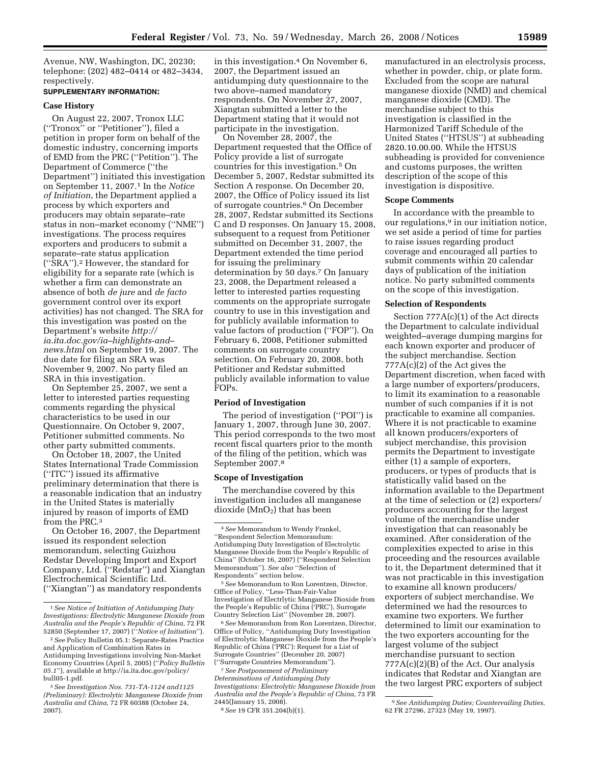Avenue, NW, Washington, DC, 20230; telephone: (202) 482–0414 or 482–3434, respectively.

#### **SUPPLEMENTARY INFORMATION:**

#### **Case History**

On August 22, 2007, Tronox LLC (''Tronox'' or ''Petitioner''), filed a petition in proper form on behalf of the domestic industry, concerning imports of EMD from the PRC (''Petition''). The Department of Commerce (''the Department'') initiated this investigation on September 11, 2007.1 In the *Notice of Initiation*, the Department applied a process by which exporters and producers may obtain separate–rate status in non–market economy (''NME'') investigations. The process requires exporters and producers to submit a separate–rate status application (''SRA'').2 However, the standard for eligibility for a separate rate (which is whether a firm can demonstrate an absence of both *de jure* and *de facto*  government control over its export activities) has not changed. The SRA for this investigation was posted on the Department's website *http:// ia.ita.doc.gov/ia–highlights-and– news.html* on September 19, 2007. The due date for filing an SRA was November 9, 2007. No party filed an SRA in this investigation.

On September 25, 2007, we sent a letter to interested parties requesting comments regarding the physical characteristics to be used in our Questionnaire. On October 9, 2007, Petitioner submitted comments. No other party submitted comments.

On October 18, 2007, the United States International Trade Commission (''ITC'') issued its affirmative preliminary determination that there is a reasonable indication that an industry in the United States is materially injured by reason of imports of EMD from the PRC.3

On October 16, 2007, the Department issued its respondent selection memorandum, selecting Guizhou Redstar Developing Import and Export Company, Ltd. (''Redstar'') and Xiangtan Electrochemical Scientific Ltd. (''Xiangtan'') as mandatory respondents

in this investigation.<sup>4</sup> On November 6, 2007, the Department issued an antidumping duty questionnaire to the two above–named mandatory respondents. On November 27, 2007, Xiangtan submitted a letter to the Department stating that it would not participate in the investigation.

On November 28, 2007, the Department requested that the Office of Policy provide a list of surrogate countries for this investigation.5 On December 5, 2007, Redstar submitted its Section A response. On December 20, 2007, the Office of Policy issued its list of surrogate countries.6 On December 28, 2007, Redstar submitted its Sections C and D responses. On January 15, 2008, subsequent to a request from Petitioner submitted on December 31, 2007, the Department extended the time period for issuing the preliminary determination by 50 days.7 On January 23, 2008, the Department released a letter to interested parties requesting comments on the appropriate surrogate country to use in this investigation and for publicly available information to value factors of production (''FOP''). On February 6, 2008, Petitioner submitted comments on surrogate country selection. On February 20, 2008, both Petitioner and Redstar submitted publicly available information to value FOPs.

#### **Period of Investigation**

The period of investigation (''POI'') is January 1, 2007, through June 30, 2007. This period corresponds to the two most recent fiscal quarters prior to the month of the filing of the petition, which was September 2007.8

#### **Scope of Investigation**

The merchandise covered by this investigation includes all manganese dioxide  $(MnO<sub>2</sub>)$  that has been

5*See* Memorandum to Ron Lorentzen, Director, Office of Policy, ''Less-Than-Fair-Value Investigation of Electrlytic Manganese Dioxide from the People's Republic of China ('PRC'), Surrogate Country Selection List'' (November 28, 2007).

6*See* Memorandum from Ron Lorentzen, Director, Office of Policy, ''Antidumping Duty Investigation of Electrolytic Manganese Dioxide from the People's Republic of China ('PRC'): Request for a List of Surrogate Countries'' (December 20, 2007) (''Surrogate Countries Memorandum'').

7*See Postponement of Preliminary Determinations of Antidumping Duty Investigations: Electrolytic Manganese Dioxide from Australia and the People's Republic of China*, 73 FR 2445(January 15, 2008).

8*See* 19 CFR 351.204(b)(1).

manufactured in an electrolysis process, whether in powder, chip, or plate form. Excluded from the scope are natural manganese dioxide (NMD) and chemical manganese dioxide (CMD). The merchandise subject to this investigation is classified in the Harmonized Tariff Schedule of the United States (''HTSUS'') at subheading 2820.10.00.00. While the HTSUS subheading is provided for convenience and customs purposes, the written description of the scope of this investigation is dispositive.

## **Scope Comments**

In accordance with the preamble to our regulations,<sup>9</sup> in our initiation notice, we set aside a period of time for parties to raise issues regarding product coverage and encouraged all parties to submit comments within 20 calendar days of publication of the initiation notice. No party submitted comments on the scope of this investigation.

#### **Selection of Respondents**

Section 777A(c)(1) of the Act directs the Department to calculate individual weighted–average dumping margins for each known exporter and producer of the subject merchandise. Section 777A(c)(2) of the Act gives the Department discretion, when faced with a large number of exporters/producers, to limit its examination to a reasonable number of such companies if it is not practicable to examine all companies. Where it is not practicable to examine all known producers/exporters of subject merchandise, this provision permits the Department to investigate either (1) a sample of exporters, producers, or types of products that is statistically valid based on the information available to the Department at the time of selection or (2) exporters/ producers accounting for the largest volume of the merchandise under investigation that can reasonably be examined. After consideration of the complexities expected to arise in this proceeding and the resources available to it, the Department determined that it was not practicable in this investigation to examine all known producers/ exporters of subject merchandise. We determined we had the resources to examine two exporters. We further determined to limit our examination to the two exporters accounting for the largest volume of the subject merchandise pursuant to section 777A(c)(2)(B) of the Act. Our analysis indicates that Redstar and Xiangtan are the two largest PRC exporters of subject

<sup>1</sup>*See Notice of Initiation of Antidumping Duty Investigations: Electrolytic Manganese Dioxide from Australia and the People's Republic of China*, 72 FR 52850 (September 17, 2007) (''*Notice of Initiation*'').

<sup>2</sup>*See* Policy Bulletin 05.1: Separate-Rates Practice and Application of Combination Rates in Antidumping Investigations involving Non-Market Economy Countries (April 5, 2005) (''*Policy Bulletin 05.1*''), available at http://ia.ita.doc.gov/policy/ bull05-1.pdf.

<sup>3</sup>*See Investigation Nos. 731-TA-1124 and1125 (Preliminary): Electrolytic Manganese Dioxide from Australia and China*, 72 FR 60388 (October 24, 2007).

<sup>4</sup>*See* Memorandum to Wendy Frankel, ''Respondent Selection Memorandum: Antidumping Duty Investigation of Electrolytic Manganese Dioxide from the People's Republic of China'' (October 16, 2007) (''Respondent Selection Memorandum''). *See also* ''Selection of Respondents'' section below.

<sup>9</sup>*See Antidumping Duties; Countervailing Duties*, 62 FR 27296, 27323 (May 19, 1997).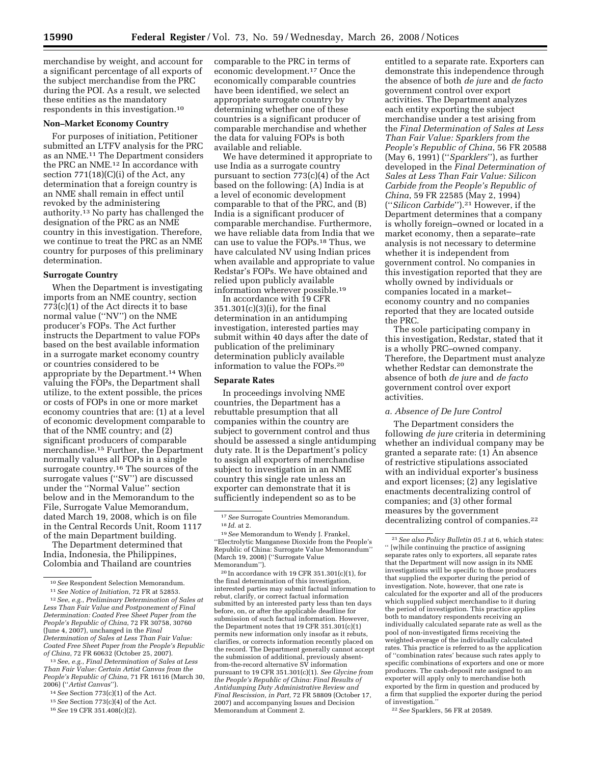merchandise by weight, and account for a significant percentage of all exports of the subject merchandise from the PRC during the POI. As a result, we selected these entities as the mandatory respondents in this investigation.10

#### **Non–Market Economy Country**

For purposes of initiation, Petitioner submitted an LTFV analysis for the PRC as an NME.11 The Department considers the PRC an NME.<sup>12</sup> In accordance with section  $771(18)(C)(i)$  of the Act, any determination that a foreign country is an NME shall remain in effect until revoked by the administering authority.13 No party has challenged the designation of the PRC as an NME country in this investigation. Therefore, we continue to treat the PRC as an NME country for purposes of this preliminary determination.

#### **Surrogate Country**

When the Department is investigating imports from an NME country, section 773(c)(1) of the Act directs it to base normal value (''NV'') on the NME producer's FOPs. The Act further instructs the Department to value FOPs based on the best available information in a surrogate market economy country or countries considered to be appropriate by the Department.14 When valuing the FOPs, the Department shall utilize, to the extent possible, the prices or costs of FOPs in one or more market economy countries that are: (1) at a level of economic development comparable to that of the NME country; and (2) significant producers of comparable merchandise.15 Further, the Department normally values all FOPs in a single surrogate country.16 The sources of the surrogate values (''SV'') are discussed under the ''Normal Value'' section below and in the Memorandum to the File, Surrogate Value Memorandum, dated March 19, 2008, which is on file in the Central Records Unit, Room 1117 of the main Department building.

The Department determined that India, Indonesia, the Philippines, Colombia and Thailand are countries

13*See*, *e.g.*, *Final Determination of Sales at Less Than Fair Value: Certain Artist Canvas from the People's Republic of China*, 71 FR 16116 (March 30, 2006) (''*Artist Canvas*'').

16*See* 19 CFR 351.408(c)(2).

comparable to the PRC in terms of economic development.17 Once the economically comparable countries have been identified, we select an appropriate surrogate country by determining whether one of these countries is a significant producer of comparable merchandise and whether the data for valuing FOPs is both available and reliable.

We have determined it appropriate to use India as a surrogate country pursuant to section 773(c)(4) of the Act based on the following: (A) India is at a level of economic development comparable to that of the PRC, and (B) India is a significant producer of comparable merchandise. Furthermore, we have reliable data from India that we can use to value the FOPs.18 Thus, we have calculated NV using Indian prices when available and appropriate to value Redstar's FOPs. We have obtained and relied upon publicly available information wherever possible.19

In accordance with 19 CFR 351.301(c)(3)(i), for the final determination in an antidumping investigation, interested parties may submit within 40 days after the date of publication of the preliminary determination publicly available information to value the FOPs.20

#### **Separate Rates**

In proceedings involving NME countries, the Department has a rebuttable presumption that all companies within the country are subject to government control and thus should be assessed a single antidumping duty rate. It is the Department's policy to assign all exporters of merchandise subject to investigation in an NME country this single rate unless an exporter can demonstrate that it is sufficiently independent so as to be

 $20$  In accordance with 19 CFR 351.301(c)(1), for the final determination of this investigation, interested parties may submit factual information to rebut, clarify, or correct factual information submitted by an interested party less than ten days before, on, or after the applicable deadline for submission of such factual information. However, the Department notes that 19 CFR 351.301(c)(1) permits new information only insofar as it rebuts, clarifies, or corrects information recently placed on the record. The Department generally cannot accept the submission of additional, previously absentfrom-the-record alternative SV information pursuant to 19 CFR 351.301(c)(1). *See Glycine from the People's Republic of China: Final Results of Antidumping Duty Administrative Review and Final Rescission, in Part*, 72 FR 58809 (October 17, 2007) and accompanying Issues and Decision Memorandum at Comment 2.

entitled to a separate rate. Exporters can demonstrate this independence through the absence of both *de jure* and *de facto*  government control over export activities. The Department analyzes each entity exporting the subject merchandise under a test arising from the *Final Determination of Sales at Less Than Fair Value: Sparklers from the People's Republic of China*, 56 FR 20588 (May 6, 1991) (''*Sparklers*''), as further developed in the *Final Determination of Sales at Less Than Fair Value: Silicon Carbide from the People's Republic of China*, 59 FR 22585 (May 2, 1994) (''*Silicon Carbide*'').21 However, if the Department determines that a company is wholly foreign–owned or located in a market economy, then a separate–rate analysis is not necessary to determine whether it is independent from government control. No companies in this investigation reported that they are wholly owned by individuals or companies located in a market– economy country and no companies reported that they are located outside the PRC.

The sole participating company in this investigation, Redstar, stated that it is a wholly PRC–owned company. Therefore, the Department must analyze whether Redstar can demonstrate the absence of both *de jure* and *de facto*  government control over export activities.

#### *a. Absence of De Jure Control*

The Department considers the following *de jure* criteria in determining whether an individual company may be granted a separate rate: (1) An absence of restrictive stipulations associated with an individual exporter's business and export licenses; (2) any legislative enactments decentralizing control of companies; and (3) other formal measures by the government decentralizing control of companies.<sup>22</sup>

<sup>10</sup>*See* Respondent Selection Memorandum. 11*See Notice of Initiation*, 72 FR at 52853. 12*See*, *e.g.*, *Preliminary Determination of Sales at Less Than Fair Value and Postponement of Final Determination: Coated Free Sheet Paper from the People's Republic of China*, 72 FR 30758, 30760 (June 4, 2007), unchanged in the *Final Determination of Sales at Less Than Fair Value: Coated Free Sheet Paper from the People's Republic of China*, 72 FR 60632 (October 25, 2007).

<sup>14</sup>*See* Section 773(c)(1) of the Act.

<sup>15</sup>*See* Section 773(c)(4) of the Act.

<sup>17</sup>*See* Surrogate Countries Memorandum. 18 *Id*. at 2. 19*See* Memorandum to Wendy J. Frankel,

<sup>&#</sup>x27;'Electrolytic Manganese Dioxide from the People's Republic of China: Surrogate Value Memorandum'' (March 19, 2008) (''Surrogate Value Memorandum'').

<sup>21</sup>*See also Policy Bulletin 05.1* at 6, which states: '' [w]hile continuing the practice of assigning separate rates only to exporters, all separate rates that the Department will now assign in its NME investigations will be specific to those producers that supplied the exporter during the period of investigation. Note, however, that one rate is calculated for the exporter and all of the producers which supplied subject merchandise to it during the period of investigation. This practice applies both to mandatory respondents receiving an individually calculated separate rate as well as the pool of non-investigated firms receiving the weighted-average of the individually calculated rates. This practice is referred to as the application of ''combination rates' because such rates apply to specific combinations of exporters and one or more producers. The cash-deposit rate assigned to an exporter will apply only to merchandise both exported by the firm in question and produced by a firm that supplied the exporter during the period of investigation.

<sup>22</sup>*See* Sparklers, 56 FR at 20589.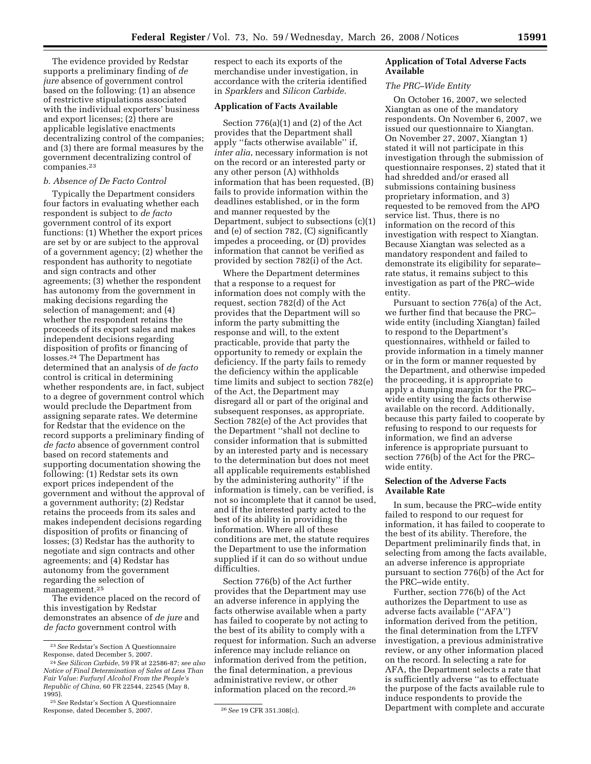The evidence provided by Redstar supports a preliminary finding of *de jure* absence of government control based on the following: (1) an absence of restrictive stipulations associated with the individual exporters' business and export licenses; (2) there are applicable legislative enactments decentralizing control of the companies; and (3) there are formal measures by the government decentralizing control of companies.23

## *b. Absence of De Facto Control*

Typically the Department considers four factors in evaluating whether each respondent is subject to *de facto*  government control of its export functions: (1) Whether the export prices are set by or are subject to the approval of a government agency; (2) whether the respondent has authority to negotiate and sign contracts and other agreements; (3) whether the respondent has autonomy from the government in making decisions regarding the selection of management; and (4) whether the respondent retains the proceeds of its export sales and makes independent decisions regarding disposition of profits or financing of losses.24 The Department has determined that an analysis of *de facto*  control is critical in determining whether respondents are, in fact, subject to a degree of government control which would preclude the Department from assigning separate rates. We determine for Redstar that the evidence on the record supports a preliminary finding of *de facto* absence of government control based on record statements and supporting documentation showing the following: (1) Redstar sets its own export prices independent of the government and without the approval of a government authority; (2) Redstar retains the proceeds from its sales and makes independent decisions regarding disposition of profits or financing of losses; (3) Redstar has the authority to negotiate and sign contracts and other agreements; and (4) Redstar has autonomy from the government regarding the selection of management.25

The evidence placed on the record of this investigation by Redstar demonstrates an absence of *de jure* and *de facto* government control with

respect to each its exports of the merchandise under investigation, in accordance with the criteria identified in *Sparklers* and *Silicon Carbide*.

## **Application of Facts Available**

Section 776(a)(1) and (2) of the Act provides that the Department shall apply ''facts otherwise available'' if, *inter alia*, necessary information is not on the record or an interested party or any other person (A) withholds information that has been requested, (B) fails to provide information within the deadlines established, or in the form and manner requested by the Department, subject to subsections (c)(1) and (e) of section 782, (C) significantly impedes a proceeding, or (D) provides information that cannot be verified as provided by section 782(i) of the Act.

Where the Department determines that a response to a request for information does not comply with the request, section 782(d) of the Act provides that the Department will so inform the party submitting the response and will, to the extent practicable, provide that party the opportunity to remedy or explain the deficiency. If the party fails to remedy the deficiency within the applicable time limits and subject to section 782(e) of the Act, the Department may disregard all or part of the original and subsequent responses, as appropriate. Section 782(e) of the Act provides that the Department ''shall not decline to consider information that is submitted by an interested party and is necessary to the determination but does not meet all applicable requirements established by the administering authority'' if the information is timely, can be verified, is not so incomplete that it cannot be used, and if the interested party acted to the best of its ability in providing the information. Where all of these conditions are met, the statute requires the Department to use the information supplied if it can do so without undue difficulties.

Section 776(b) of the Act further provides that the Department may use an adverse inference in applying the facts otherwise available when a party has failed to cooperate by not acting to the best of its ability to comply with a request for information. Such an adverse inference may include reliance on information derived from the petition, the final determination, a previous administrative review, or other information placed on the record.26

# **Application of Total Adverse Facts Available**

# *The PRC–Wide Entity*

On October 16, 2007, we selected Xiangtan as one of the mandatory respondents. On November 6, 2007, we issued our questionnaire to Xiangtan. On November 27, 2007, Xiangtan 1) stated it will not participate in this investigation through the submission of questionnaire responses, 2) stated that it had shredded and/or erased all submissions containing business proprietary information, and 3) requested to be removed from the APO service list. Thus, there is no information on the record of this investigation with respect to Xiangtan. Because Xiangtan was selected as a mandatory respondent and failed to demonstrate its eligibility for separate– rate status, it remains subject to this investigation as part of the PRC–wide entity.

Pursuant to section 776(a) of the Act, we further find that because the PRC– wide entity (including Xiangtan) failed to respond to the Department's questionnaires, withheld or failed to provide information in a timely manner or in the form or manner requested by the Department, and otherwise impeded the proceeding, it is appropriate to apply a dumping margin for the PRC– wide entity using the facts otherwise available on the record. Additionally, because this party failed to cooperate by refusing to respond to our requests for information, we find an adverse inference is appropriate pursuant to section 776(b) of the Act for the PRC– wide entity.

## **Selection of the Adverse Facts Available Rate**

In sum, because the PRC–wide entity failed to respond to our request for information, it has failed to cooperate to the best of its ability. Therefore, the Department preliminarily finds that, in selecting from among the facts available, an adverse inference is appropriate pursuant to section 776(b) of the Act for the PRC–wide entity.

Further, section 776(b) of the Act authorizes the Department to use as adverse facts available (''AFA'') information derived from the petition, the final determination from the LTFV investigation, a previous administrative review, or any other information placed on the record. In selecting a rate for AFA, the Department selects a rate that is sufficiently adverse ''as to effectuate the purpose of the facts available rule to induce respondents to provide the Department with complete and accurate

<sup>23</sup>*See* Redstar's Section A Questionnaire Response, dated December 5, 2007.

<sup>24</sup>*See Silicon Carbide*, 59 FR at 22586-87; *see also Notice of Final Determination of Sales at Less Than Fair Value: Furfuryl Alcohol From the People's Republic of China*, 60 FR 22544, 22545 (May 8, 1995).

<sup>25</sup>*See* Redstar's Section A Questionnaire Response, dated December 5, 2007. 26*See* 19 CFR 351.308(c).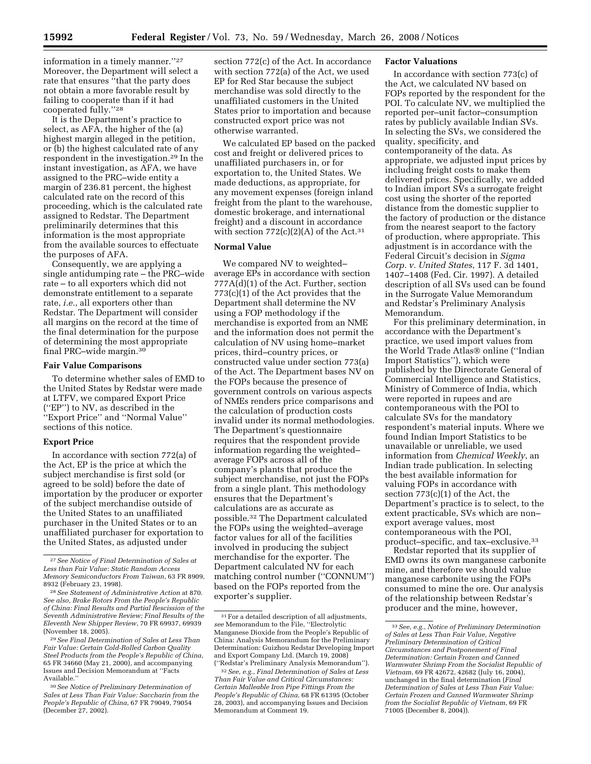information in a timely manner.''27 Moreover, the Department will select a rate that ensures "that the party does not obtain a more favorable result by failing to cooperate than if it had cooperated fully.''28

It is the Department's practice to select, as AFA, the higher of the (a) highest margin alleged in the petition, or (b) the highest calculated rate of any respondent in the investigation.29 In the instant investigation, as AFA, we have assigned to the PRC–wide entity a margin of 236.81 percent, the highest calculated rate on the record of this proceeding, which is the calculated rate assigned to Redstar. The Department preliminarily determines that this information is the most appropriate from the available sources to effectuate the purposes of AFA.

Consequently, we are applying a single antidumping rate – the PRC–wide rate – to all exporters which did not demonstrate entitlement to a separate rate, *i.e.*, all exporters other than Redstar. The Department will consider all margins on the record at the time of the final determination for the purpose of determining the most appropriate final PRC–wide margin.30

#### **Fair Value Comparisons**

To determine whether sales of EMD to the United States by Redstar were made at LTFV, we compared Export Price (''EP'') to NV, as described in the ''Export Price'' and ''Normal Value'' sections of this notice.

## **Export Price**

In accordance with section 772(a) of the Act, EP is the price at which the subject merchandise is first sold (or agreed to be sold) before the date of importation by the producer or exporter of the subject merchandise outside of the United States to an unaffiliated purchaser in the United States or to an unaffiliated purchaser for exportation to the United States, as adjusted under

29*See Final Determination of Sales at Less Than Fair Value: Certain Cold-Rolled Carbon Quality Steel Products from the People's Republic of China*, 65 FR 34660 (May 21, 2000), and accompanying Issues and Decision Memorandum at ''Facts Available.

section 772(c) of the Act. In accordance with section 772(a) of the Act, we used EP for Red Star because the subject merchandise was sold directly to the unaffiliated customers in the United States prior to importation and because constructed export price was not otherwise warranted.

We calculated EP based on the packed cost and freight or delivered prices to unaffiliated purchasers in, or for exportation to, the United States. We made deductions, as appropriate, for any movement expenses (foreign inland freight from the plant to the warehouse, domestic brokerage, and international freight) and a discount in accordance with section  $772(c)(2)(A)$  of the Act.<sup>31</sup>

## **Normal Value**

We compared NV to weighted– average EPs in accordance with section 777A(d)(1) of the Act. Further, section 773(c)(1) of the Act provides that the Department shall determine the NV using a FOP methodology if the merchandise is exported from an NME and the information does not permit the calculation of NV using home–market prices, third–country prices, or constructed value under section 773(a) of the Act. The Department bases NV on the FOPs because the presence of government controls on various aspects of NMEs renders price comparisons and the calculation of production costs invalid under its normal methodologies. The Department's questionnaire requires that the respondent provide information regarding the weighted– average FOPs across all of the company's plants that produce the subject merchandise, not just the FOPs from a single plant. This methodology ensures that the Department's calculations are as accurate as possible.32 The Department calculated the FOPs using the weighted–average factor values for all of the facilities involved in producing the subject merchandise for the exporter. The Department calculated NV for each matching control number (''CONNUM'') based on the FOPs reported from the exporter's supplier.

## **Factor Valuations**

In accordance with section 773(c) of the Act, we calculated NV based on FOPs reported by the respondent for the POI. To calculate NV, we multiplied the reported per–unit factor–consumption rates by publicly available Indian SVs. In selecting the SVs, we considered the quality, specificity, and contemporaneity of the data. As appropriate, we adjusted input prices by including freight costs to make them delivered prices. Specifically, we added to Indian import SVs a surrogate freight cost using the shorter of the reported distance from the domestic supplier to the factory of production or the distance from the nearest seaport to the factory of production, where appropriate. This adjustment is in accordance with the Federal Circuit's decision in *Sigma Corp. v. United States*, 117 F. 3d 1401, 1407–1408 (Fed. Cir. 1997). A detailed description of all SVs used can be found in the Surrogate Value Memorandum and Redstar's Preliminary Analysis Memorandum.

For this preliminary determination, in accordance with the Department's practice, we used import values from the World Trade Atlas® online ("Indian Import Statistics''), which were published by the Directorate General of Commercial Intelligence and Statistics, Ministry of Commerce of India, which were reported in rupees and are contemporaneous with the POI to calculate SVs for the mandatory respondent's material inputs. Where we found Indian Import Statistics to be unavailable or unreliable, we used information from *Chemical Weekly*, an Indian trade publication. In selecting the best available information for valuing FOPs in accordance with section 773(c)(1) of the Act, the Department's practice is to select, to the extent practicable, SVs which are non– export average values, most contemporaneous with the POI, product–specific, and tax–exclusive.33

Redstar reported that its supplier of EMD owns its own manganese carbonite mine, and therefore we should value manganese carbonite using the FOPs consumed to mine the ore. Our analysis of the relationship between Redstar's producer and the mine, however,

<sup>27</sup>*See Notice of Final Determination of Sales at Less than Fair Value: Static Random Access Memory Semiconductors From Taiwan*, 63 FR 8909, 8932 (February 23, 1998).

<sup>28</sup>*See Statement of Administrative Action* at 870. *See also, Brake Rotors From the People's Republic of China: Final Results and Partial Rescission of the Seventh Administrative Review; Final Results of the Eleventh New Shipper Review*, 70 FR 69937, 69939 (November 18, 2005).

<sup>30</sup>*See Notice of Preliminary Determination of Sales at Less Than Fair Value: Saccharin from the People's Republic of China*, 67 FR 79049, 79054 (December 27, 2002).

<sup>31</sup>For a detailed description of all adjustments, *see* Memorandum to the File, ''Electrolytic Manganese Dioxide from the People's Republic of China: Analysis Memorandum for the Preliminary Determination: Guizhou Redstar Developing Import and Export Company Ltd. (March 19, 2008) (''Redstar's Preliminary Analysis Memorandum'').

<sup>32</sup>*See*, *e.g.*, *Final Determination of Sales at Less Than Fair Value and Critical Circumstances: Certain Malleable Iron Pipe Fittings From the People's Republic of China*, 68 FR 61395 (October 28, 2003), and accompanying Issues and Decision Memorandum at Comment 19.

<sup>33</sup>*See*, *e.g.*, *Notice of Preliminary Determination of Sales at Less Than Fair Value, Negative Preliminary Determination of Critical Circumstances and Postponement of Final Determination: Certain Frozen and Canned Warmwater Shrimp From the Socialist Republic of Vietnam*, 69 FR 42672, 42682 (July 16, 2004), unchanged in the final determination (*Final Determination of Sales at Less Than Fair Value: Certain Frozen and Canned Warmwater Shrimp from the Socialist Republic of Vietnam*, 69 FR 71005 (December 8, 2004)).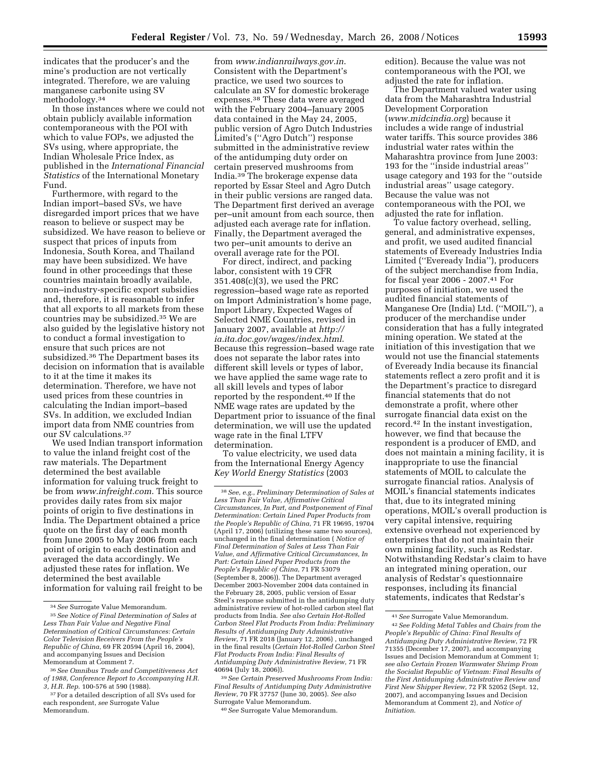indicates that the producer's and the mine's production are not vertically integrated. Therefore, we are valuing manganese carbonite using SV methodology.34

In those instances where we could not obtain publicly available information contemporaneous with the POI with which to value FOPs, we adjusted the SVs using, where appropriate, the Indian Wholesale Price Index, as published in the *International Financial Statistics* of the International Monetary Fund.

Furthermore, with regard to the Indian import–based SVs, we have disregarded import prices that we have reason to believe or suspect may be subsidized. We have reason to believe or suspect that prices of inputs from Indonesia, South Korea, and Thailand may have been subsidized. We have found in other proceedings that these countries maintain broadly available, non–industry-specific export subsidies and, therefore, it is reasonable to infer that all exports to all markets from these countries may be subsidized.35 We are also guided by the legislative history not to conduct a formal investigation to ensure that such prices are not subsidized.36 The Department bases its decision on information that is available to it at the time it makes its determination. Therefore, we have not used prices from these countries in calculating the Indian import–based SVs. In addition, we excluded Indian import data from NME countries from our SV calculations.37

We used Indian transport information to value the inland freight cost of the raw materials. The Department determined the best available information for valuing truck freight to be from *www.infreight.com*. This source provides daily rates from six major points of origin to five destinations in India. The Department obtained a price quote on the first day of each month from June 2005 to May 2006 from each point of origin to each destination and averaged the data accordingly. We adjusted these rates for inflation. We determined the best available information for valuing rail freight to be

from *www.indianrailways.gov.in*. Consistent with the Department's practice, we used two sources to calculate an SV for domestic brokerage expenses.38 These data were averaged with the February 2004–January 2005 data contained in the May 24, 2005, public version of Agro Dutch Industries Limited's (''Agro Dutch'') response submitted in the administrative review of the antidumping duty order on certain preserved mushrooms from India.39 The brokerage expense data reported by Essar Steel and Agro Dutch in their public versions are ranged data. The Department first derived an average per–unit amount from each source, then adjusted each average rate for inflation. Finally, the Department averaged the two per–unit amounts to derive an overall average rate for the POI.

For direct, indirect, and packing labor, consistent with 19 CFR 351.408(c)(3), we used the PRC regression–based wage rate as reported on Import Administration's home page, Import Library, Expected Wages of Selected NME Countries, revised in January 2007, available at *http:// ia.ita.doc.gov/wages/index.html*. Because this regression–based wage rate does not separate the labor rates into different skill levels or types of labor, we have applied the same wage rate to all skill levels and types of labor reported by the respondent.40 If the NME wage rates are updated by the Department prior to issuance of the final determination, we will use the updated wage rate in the final LTFV determination.

To value electricity, we used data from the International Energy Agency *Key World Energy Statistics* (2003

39*See Certain Preserved Mushrooms From India: Final Results of Antidumping Duty Administrative Review*, 70 FR 37757 (June 30, 2005). *See also*  Surrogate Value Memorandum.

40*See* Surrogate Value Memorandum.

edition). Because the value was not contemporaneous with the POI, we adjusted the rate for inflation.

The Department valued water using data from the Maharashtra Industrial Development Corporation (*www.midcindia.org*) because it includes a wide range of industrial water tariffs. This source provides 386 industrial water rates within the Maharashtra province from June 2003: 193 for the ''inside industrial areas'' usage category and 193 for the ''outside industrial areas'' usage category. Because the value was not contemporaneous with the POI, we adjusted the rate for inflation.

To value factory overhead, selling, general, and administrative expenses, and profit, we used audited financial statements of Eveready Industries India Limited (''Eveready India''), producers of the subject merchandise from India, for fiscal year 2006 - 2007.41 For purposes of initiation, we used the audited financial statements of Manganese Ore (India) Ltd. (''MOIL''), a producer of the merchandise under consideration that has a fully integrated mining operation. We stated at the initiation of this investigation that we would not use the financial statements of Eveready India because its financial statements reflect a zero profit and it is the Department's practice to disregard financial statements that do not demonstrate a profit, where other surrogate financial data exist on the record.42 In the instant investigation, however, we find that because the respondent is a producer of EMD, and does not maintain a mining facility, it is inappropriate to use the financial statements of MOIL to calculate the surrogate financial ratios. Analysis of MOIL's financial statements indicates that, due to its integrated mining operations, MOIL's overall production is very capital intensive, requiring extensive overhead not experienced by enterprises that do not maintain their own mining facility, such as Redstar. Notwithstanding Redstar's claim to have an integrated mining operation, our analysis of Redstar's questionnaire responses, including its financial statements, indicates that Redstar's

<sup>34</sup>*See* Surrogate Value Memorandum.

<sup>35</sup>*See Notice of Final Determination of Sales at Less Than Fair Value and Negative Final Determination of Critical Circumstances: Certain Color Television Receivers From the People's Republic of China*, 69 FR 20594 (April 16, 2004), and accompanying Issues and Decision Memorandum at Comment 7.

<sup>36</sup>*See Omnibus Trade and Competitiveness Act of 1988, Conference Report to Accompanying H.R. 3, H.R. Rep*. 100-576 at 590 (1988).

<sup>37</sup>For a detailed description of all SVs used for each respondent, *see* Surrogate Value Memorandum.

<sup>38</sup>*See*, *e.g.*, *Preliminary Determination of Sales at Less Than Fair Value, Affirmative Critical Circumstances, In Part, and Postponement of Final Determination: Certain Lined Paper Products from the People's Republic of China*, 71 FR 19695, 19704 (April 17, 2006) (utilizing these same two sources), unchanged in the final determination ( *Notice of Final Determination of Sales at Less Than Fair Value, and Affirmative Critical Circumstances, In Part: Certain Lined Paper Products from the People's Republic of China*, 71 FR 53079 (September 8, 2006)). The Department averaged December 2003-November 2004 data contained in the February 28, 2005, public version of Essar Steel's response submitted in the antidumping duty administrative review of hot-rolled carbon steel flat products from India. *See also Certain Hot-Rolled Carbon Steel Flat Products From India: Preliminary Results of Antidumping Duty Administrative Review*, 71 FR 2018 (January 12, 2006) , unchanged in the final results (*Certain Hot-Rolled Carbon Steel Flat Products From India: Final Results of Antidumping Duty Administrative Review*, 71 FR 40694 (July 18, 2006)).

<sup>41</sup>*See* Surrogate Value Memorandum.

<sup>42</sup>*See Folding Metal Tables and Chairs from the People's Republic of China: Final Results of Antidumping Duty Administrative Review*, 72 FR 71355 (December 17, 2007), and accompanying Issues and Decision Memorandum at Comment 1; *see also Certain Frozen Warmwater Shrimp From the Socialist Republic of Vietnam: Final Results of the First Antidumping Administrative Review and First New Shipper Review*, 72 FR 52052 (Sept. 12, 2007), and accompanying Issues and Decision Memorandum at Comment 2), and *Notice of Initiation*.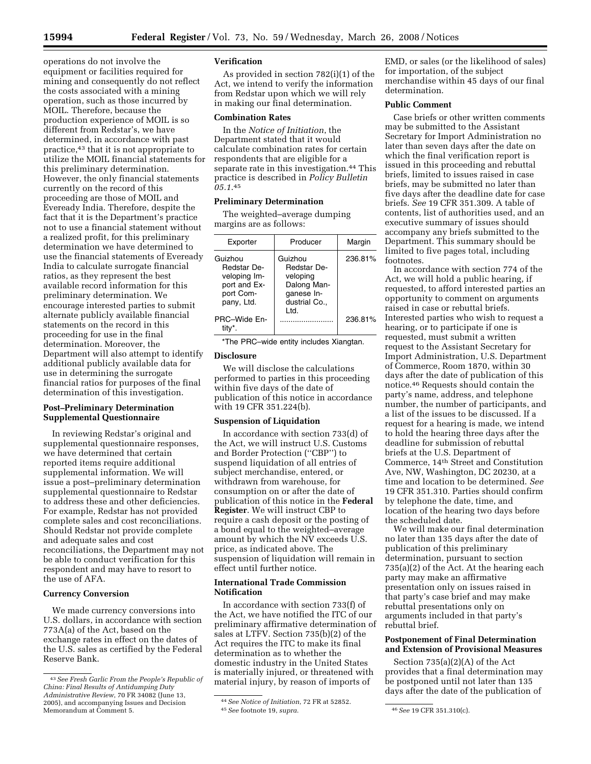operations do not involve the equipment or facilities required for mining and consequently do not reflect the costs associated with a mining operation, such as those incurred by MOIL. Therefore, because the production experience of MOIL is so different from Redstar's, we have determined, in accordance with past practice,43 that it is not appropriate to utilize the MOIL financial statements for this preliminary determination. However, the only financial statements currently on the record of this proceeding are those of MOIL and Eveready India. Therefore, despite the fact that it is the Department's practice not to use a financial statement without a realized profit, for this preliminary determination we have determined to use the financial statements of Eveready India to calculate surrogate financial ratios, as they represent the best available record information for this preliminary determination. We encourage interested parties to submit alternate publicly available financial statements on the record in this proceeding for use in the final determination. Moreover, the Department will also attempt to identify additional publicly available data for use in determining the surrogate financial ratios for purposes of the final determination of this investigation.

## **Post–Preliminary Determination Supplemental Questionnaire**

In reviewing Redstar's original and supplemental questionnaire responses, we have determined that certain reported items require additional supplemental information. We will issue a post–preliminary determination supplemental questionnaire to Redstar to address these and other deficiencies. For example, Redstar has not provided complete sales and cost reconciliations. Should Redstar not provide complete and adequate sales and cost reconciliations, the Department may not be able to conduct verification for this respondent and may have to resort to the use of AFA.

#### **Currency Conversion**

We made currency conversions into U.S. dollars, in accordance with section 773A(a) of the Act, based on the exchange rates in effect on the dates of the U.S. sales as certified by the Federal Reserve Bank.

# **Verification**

As provided in section 782(i)(1) of the Act, we intend to verify the information from Redstar upon which we will rely in making our final determination.

## **Combination Rates**

In the *Notice of Initiation*, the Department stated that it would calculate combination rates for certain respondents that are eligible for a separate rate in this investigation.<sup>44</sup> This practice is described in *Policy Bulletin 05.1*.45

## **Preliminary Determination**

The weighted–average dumping margins are as follows:

| Exporter                                                                                 | Producer                                                                                  | Margin  |
|------------------------------------------------------------------------------------------|-------------------------------------------------------------------------------------------|---------|
| Guizhou<br><b>Redstar De-</b><br>veloping Im-<br>port and Ex-<br>port Com-<br>pany, Ltd. | Guizhou<br>Redstar De-<br>veloping<br>Dalong Man-<br>ganese In-<br>dustrial Co.,<br>.ht I | 236.81% |
| PRC-Wide En-                                                                             |                                                                                           | 236.81% |

\*The PRC–wide entity includes Xiangtan.

## **Disclosure**

We will disclose the calculations performed to parties in this proceeding within five days of the date of publication of this notice in accordance with 19 CFR 351.224(b).

#### **Suspension of Liquidation**

In accordance with section 733(d) of the Act, we will instruct U.S. Customs and Border Protection (''CBP'') to suspend liquidation of all entries of subject merchandise, entered, or withdrawn from warehouse, for consumption on or after the date of publication of this notice in the **Federal Register**. We will instruct CBP to require a cash deposit or the posting of a bond equal to the weighted–average amount by which the NV exceeds U.S. price, as indicated above. The suspension of liquidation will remain in effect until further notice.

## **International Trade Commission Notification**

In accordance with section 733(f) of the Act, we have notified the ITC of our preliminary affirmative determination of sales at LTFV. Section 735(b)(2) of the Act requires the ITC to make its final determination as to whether the domestic industry in the United States is materially injured, or threatened with material injury, by reason of imports of

EMD, or sales (or the likelihood of sales) for importation, of the subject merchandise within 45 days of our final determination.

# **Public Comment**

Case briefs or other written comments may be submitted to the Assistant Secretary for Import Administration no later than seven days after the date on which the final verification report is issued in this proceeding and rebuttal briefs, limited to issues raised in case briefs, may be submitted no later than five days after the deadline date for case briefs. *See* 19 CFR 351.309. A table of contents, list of authorities used, and an executive summary of issues should accompany any briefs submitted to the Department. This summary should be limited to five pages total, including footnotes.

In accordance with section 774 of the Act, we will hold a public hearing, if requested, to afford interested parties an opportunity to comment on arguments raised in case or rebuttal briefs. Interested parties who wish to request a hearing, or to participate if one is requested, must submit a written request to the Assistant Secretary for Import Administration, U.S. Department of Commerce, Room 1870, within 30 days after the date of publication of this notice.46 Requests should contain the party's name, address, and telephone number, the number of participants, and a list of the issues to be discussed. If a request for a hearing is made, we intend to hold the hearing three days after the deadline for submission of rebuttal briefs at the U.S. Department of Commerce, 14th Street and Constitution Ave, NW, Washington, DC 20230, at a time and location to be determined. *See*  19 CFR 351.310. Parties should confirm by telephone the date, time, and location of the hearing two days before the scheduled date.

We will make our final determination no later than 135 days after the date of publication of this preliminary determination, pursuant to section 735(a)(2) of the Act. At the hearing each party may make an affirmative presentation only on issues raised in that party's case brief and may make rebuttal presentations only on arguments included in that party's rebuttal brief.

## **Postponement of Final Determination and Extension of Provisional Measures**

Section 735(a)(2)(A) of the Act provides that a final determination may be postponed until not later than 135 days after the date of the publication of

<sup>43</sup>*See Fresh Garlic From the People's Republic of China: Final Results of Antidumping Duty Administrative Review*, 70 FR 34082 (June 13, 2005), and accompanying Issues and Decision Memorandum at Comment 5.

<sup>44</sup>*See Notice of Initiation*, 72 FR at 52852. 45*See* footnote 19, *supra*. 46*See* 19 CFR 351.310(c).